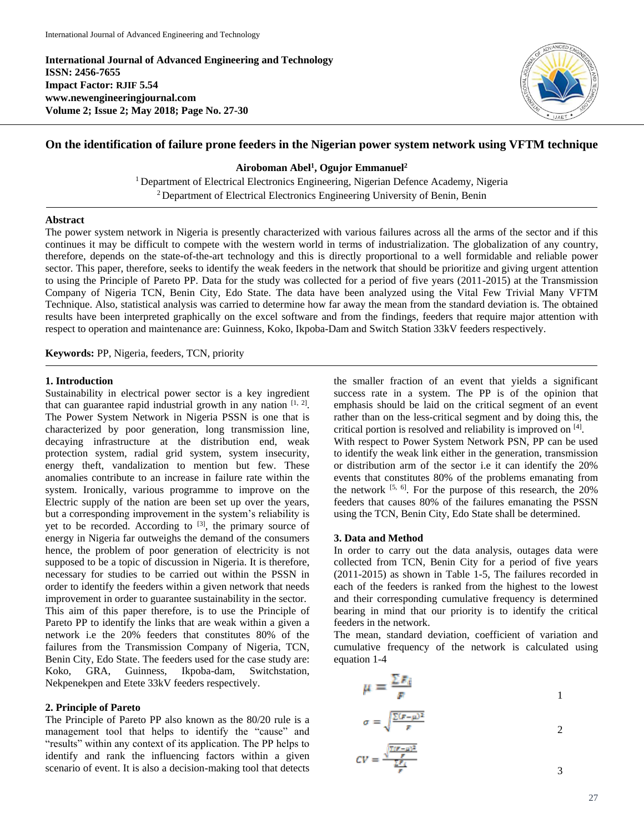**International Journal of Advanced Engineering and Technology ISSN: 2456-7655 Impact Factor: RJIF 5.54 www.newengineeringjournal.com Volume 2; Issue 2; May 2018; Page No. 27-30**



# **On the identification of failure prone feeders in the Nigerian power system network using VFTM technique**

### **Airoboman Abel<sup>1</sup> , Ogujor Emmanuel<sup>2</sup>**

<sup>1</sup> Department of Electrical Electronics Engineering, Nigerian Defence Academy, Nigeria <sup>2</sup> Department of Electrical Electronics Engineering University of Benin, Benin

### **Abstract**

The power system network in Nigeria is presently characterized with various failures across all the arms of the sector and if this continues it may be difficult to compete with the western world in terms of industrialization. The globalization of any country, therefore, depends on the state-of-the-art technology and this is directly proportional to a well formidable and reliable power sector. This paper, therefore, seeks to identify the weak feeders in the network that should be prioritize and giving urgent attention to using the Principle of Pareto PP. Data for the study was collected for a period of five years (2011-2015) at the Transmission Company of Nigeria TCN, Benin City, Edo State. The data have been analyzed using the Vital Few Trivial Many VFTM Technique. Also, statistical analysis was carried to determine how far away the mean from the standard deviation is. The obtained results have been interpreted graphically on the excel software and from the findings, feeders that require major attention with respect to operation and maintenance are: Guinness, Koko, Ikpoba-Dam and Switch Station 33kV feeders respectively.

**Keywords:** PP, Nigeria, feeders, TCN, priority

# **1. Introduction**

Sustainability in electrical power sector is a key ingredient that can guarantee rapid industrial growth in any nation  $[1, 2]$ . The Power System Network in Nigeria PSSN is one that is characterized by poor generation, long transmission line, decaying infrastructure at the distribution end, weak protection system, radial grid system, system insecurity, energy theft, vandalization to mention but few. These anomalies contribute to an increase in failure rate within the system. Ironically, various programme to improve on the Electric supply of the nation are been set up over the years, but a corresponding improvement in the system's reliability is yet to be recorded. According to  $[3]$ , the primary source of energy in Nigeria far outweighs the demand of the consumers hence, the problem of poor generation of electricity is not supposed to be a topic of discussion in Nigeria. It is therefore, necessary for studies to be carried out within the PSSN in order to identify the feeders within a given network that needs improvement in order to guarantee sustainability in the sector. This aim of this paper therefore, is to use the Principle of Pareto PP to identify the links that are weak within a given a network i.e the 20% feeders that constitutes 80% of the failures from the Transmission Company of Nigeria, TCN, Benin City, Edo State. The feeders used for the case study are: Koko, GRA, Guinness, Ikpoba-dam, Switchstation, Nekpenekpen and Etete 33kV feeders respectively.

#### **2. Principle of Pareto**

The Principle of Pareto PP also known as the 80/20 rule is a management tool that helps to identify the "cause" and "results" within any context of its application. The PP helps to identify and rank the influencing factors within a given scenario of event. It is also a decision-making tool that detects

the smaller fraction of an event that yields a significant success rate in a system. The PP is of the opinion that emphasis should be laid on the critical segment of an event rather than on the less-critical segment and by doing this, the critical portion is resolved and reliability is improved on [4] .

With respect to Power System Network PSN, PP can be used to identify the weak link either in the generation, transmission or distribution arm of the sector i.e it can identify the 20% events that constitutes 80% of the problems emanating from the network  $[5, 6]$ . For the purpose of this research, the 20% feeders that causes 80% of the failures emanating the PSSN using the TCN, Benin City, Edo State shall be determined.

#### **3. Data and Method**

In order to carry out the data analysis, outages data were collected from TCN, Benin City for a period of five years (2011-2015) as shown in Table 1-5, The failures recorded in each of the feeders is ranked from the highest to the lowest and their corresponding cumulative frequency is determined bearing in mind that our priority is to identify the critical feeders in the network.

The mean, standard deviation, coefficient of variation and cumulative frequency of the network is calculated using equation 1-4

$$
\mu = \frac{\sum F_i}{F}
$$

$$
\sigma = \sqrt{\frac{\sum (r - \mu)^2}{r}}
$$

$$
CV = \frac{\sqrt{r}}{\frac{\sum F_i}{F}} \tag{3}
$$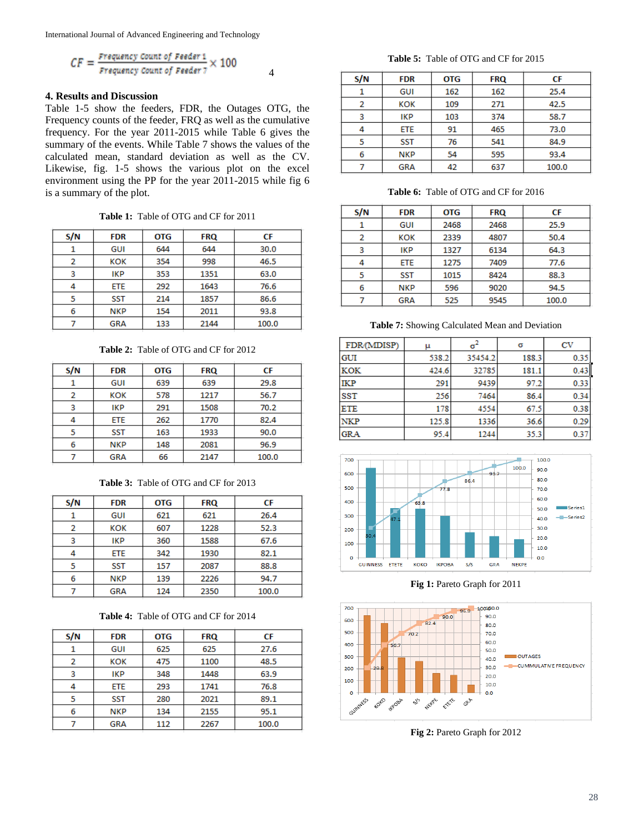International Journal of Advanced Engineering and Technology

$$
CF = \frac{Frequency \text{ Count of \textit{Feeder 1}}}{Frequency \text{ count of \textit{Feeder 7}} \times 100
$$

# **4. Results and Discussion**

Table 1-5 show the feeders, FDR, the Outages OTG, the Frequency counts of the feeder, FRQ as well as the cumulative frequency. For the year 2011-2015 while Table 6 gives the summary of the events. While Table 7 shows the values of the calculated mean, standard deviation as well as the CV. Likewise, fig. 1-5 shows the various plot on the excel environment using the PP for the year 2011-2015 while fig 6 is a summary of the plot.

**Table 1:** Table of OTG and CF for 2011

| S/N | <b>FDR</b> | <b>OTG</b> | <b>FRQ</b> | СF    |
|-----|------------|------------|------------|-------|
|     | <b>GUI</b> | 644        | 644        | 30.0  |
| 2   | KOK        | 354        | 998        | 46.5  |
| 3   | IKP        | 353        | 1351       | 63.0  |
|     | ETE        | 292        | 1643       | 76.6  |
| 5   | <b>SST</b> | 214        | 1857       | 86.6  |
| 6   | <b>NKP</b> | 154        | 2011       | 93.8  |
|     | <b>GRA</b> | 133        | 2144       | 100.0 |

**Table 2:** Table of OTG and CF for 2012

| S/N | <b>FDR</b> | <b>OTG</b>  | <b>FRQ</b> | СF    |
|-----|------------|-------------|------------|-------|
|     | GUI        | 639         | 639        | 29.8  |
| 2   | кок        | 578<br>1217 |            | 56.7  |
| 3   | <b>IKP</b> | 291         | 1508       | 70.2  |
| 4   | <b>ETE</b> | 262         | 1770       | 82.4  |
| 5   | <b>SST</b> | 163         | 1933       | 90.0  |
| 6   | <b>NKP</b> | 148         | 2081       | 96.9  |
|     | <b>GRA</b> | 66          | 2147       | 100.0 |

**Table 3:** Table of OTG and CF for 2013

| S/N | <b>FDR</b> | <b>OTG</b> | <b>FRQ</b> | СF    |
|-----|------------|------------|------------|-------|
|     | GUI        | 621        | 621        | 26.4  |
| 2   | кок        | 607        | 1228       | 52.3  |
| 3   | IKP        | 360        | 1588       | 67.6  |
| 4   | ETE        | 342        | 1930       | 82.1  |
| 5   | <b>SST</b> | 157        | 2087       | 88.8  |
| 6   | <b>NKP</b> | 139        | 2226       | 94.7  |
|     | <b>GRA</b> | 124        | 2350       | 100.0 |

**Table 4:** Table of OTG and CF for 2014

| S/N | <b>FDR</b> | <b>OTG</b> | <b>FRQ</b> | СF    |
|-----|------------|------------|------------|-------|
|     | GUI        | 625        | 625        | 27.6  |
| 2   | KOK        | 475        | 1100       | 48.5  |
| 3   | IKP        | 348        | 1448       | 63.9  |
| 4   | <b>ETE</b> | 293        | 1741       | 76.8  |
| 5   | <b>SST</b> | 280        | 2021       | 89.1  |
| 6   | <b>NKP</b> | 134        | 2155       | 95.1  |
|     | <b>GRA</b> | 112        | 2267       | 100.0 |

**Table 5:** Table of OTG and CF for 2015

| S/N | <b>FDR</b> | <b>OTG</b> | <b>FRQ</b> | СF    |
|-----|------------|------------|------------|-------|
|     | GUI        | 162        | 162        | 25.4  |
| 2   | KOK        | 109        | 271        | 42.5  |
| 3   | IKP        | 103        | 374        | 58.7  |
| 4   | ETE        | 91         | 465        | 73.0  |
| 5   | SST        | 76         | 541        | 84.9  |
| 6   | <b>NKP</b> | 54         | 595        | 93.4  |
|     | <b>GRA</b> | 42         | 637        | 100.0 |

**Table 6:** Table of OTG and CF for 2016

| S/N | <b>FDR</b> | <b>OTG</b> | <b>FRQ</b> | СF    |
|-----|------------|------------|------------|-------|
|     | GUI        | 2468       | 2468       | 25.9  |
| 2   | кок        | 2339       | 4807       | 50.4  |
| 3   | IKP        | 1327       | 6134       | 64.3  |
| 4   | ETE        | 1275       | 7409       | 77.6  |
| 5   | <b>SST</b> | 1015       | 8424       | 88.3  |
| 6   | <b>NKP</b> | 596        | 9020       | 94.5  |
|     | <b>GRA</b> | 525        | 9545       | 100.0 |

**Table 7:** Showing Calculated Mean and Deviation

| FDR/(MDISP) | μ     | $\mathbf{G}^{\mathbf{r}}$ | σ     | CV   |
|-------------|-------|---------------------------|-------|------|
| GUI         | 538.2 | 35454.2                   | 188.3 | 0.35 |
| <b>KOK</b>  | 424.6 | 32785                     | 181.1 | 0.43 |
| <b>IKP</b>  | 291   | 9439                      | 97.2  | 0.33 |
| <b>SST</b>  | 256   | 7464                      | 86.4  | 0.34 |
| <b>ETE</b>  | 178   | 4554                      | 67.5  | 0.38 |
| <b>NKP</b>  | 125.8 | 1336                      | 36.6  | 0.29 |
| <b>GRA</b>  | 95.4  | 1244                      | 35.3  | 0.37 |



**Fig 1:** Pareto Graph for 2011



**Fig 2:** Pareto Graph for 2012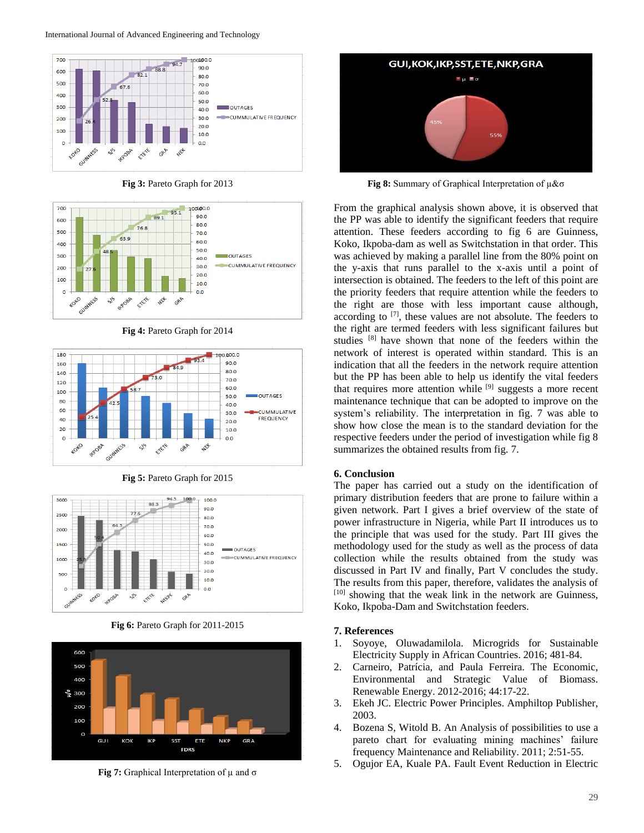

**Fig 3:** Pareto Graph for 2013



**Fig 4:** Pareto Graph for 2014



**Fig 5:** Pareto Graph for 2015



**Fig 6:** Pareto Graph for 2011-2015



**Fig 7:** Graphical Interpretation of µ and σ



**Fig 8:** Summary of Graphical Interpretation of µ&σ

From the graphical analysis shown above, it is observed that the PP was able to identify the significant feeders that require attention. These feeders according to fig 6 are Guinness, Koko, Ikpoba-dam as well as Switchstation in that order. This was achieved by making a parallel line from the 80% point on the y-axis that runs parallel to the x-axis until a point of intersection is obtained. The feeders to the left of this point are the priority feeders that require attention while the feeders to the right are those with less important cause although, according to  $[7]$ , these values are not absolute. The feeders to the right are termed feeders with less significant failures but studies [8] have shown that none of the feeders within the network of interest is operated within standard. This is an indication that all the feeders in the network require attention but the PP has been able to help us identify the vital feeders that requires more attention while [9] suggests a more recent maintenance technique that can be adopted to improve on the system's reliability. The interpretation in fig. 7 was able to show how close the mean is to the standard deviation for the respective feeders under the period of investigation while fig 8 summarizes the obtained results from fig. 7.

#### **6. Conclusion**

The paper has carried out a study on the identification of primary distribution feeders that are prone to failure within a given network. Part I gives a brief overview of the state of power infrastructure in Nigeria, while Part II introduces us to the principle that was used for the study. Part III gives the methodology used for the study as well as the process of data collection while the results obtained from the study was discussed in Part IV and finally, Part V concludes the study. The results from this paper, therefore, validates the analysis of [10] showing that the weak link in the network are Guinness, Koko, Ikpoba-Dam and Switchstation feeders.

#### **7. References**

- 1. Soyoye, Oluwadamilola. Microgrids for Sustainable Electricity Supply in African Countries. 2016; 481-84.
- 2. Carneiro, Patrícia, and Paula Ferreira. The Economic, Environmental and Strategic Value of Biomass. Renewable Energy. 2012-2016; 44:17-22.
- 3. Ekeh JC. Electric Power Principles. Amphiltop Publisher, 2003.
- 4. Bozena S, Witold B. An Analysis of possibilities to use a pareto chart for evaluating mining machines' failure frequency Maintenance and Reliability. 2011; 2:51-55.
- 5. Ogujor EA, Kuale PA. Fault Event Reduction in Electric